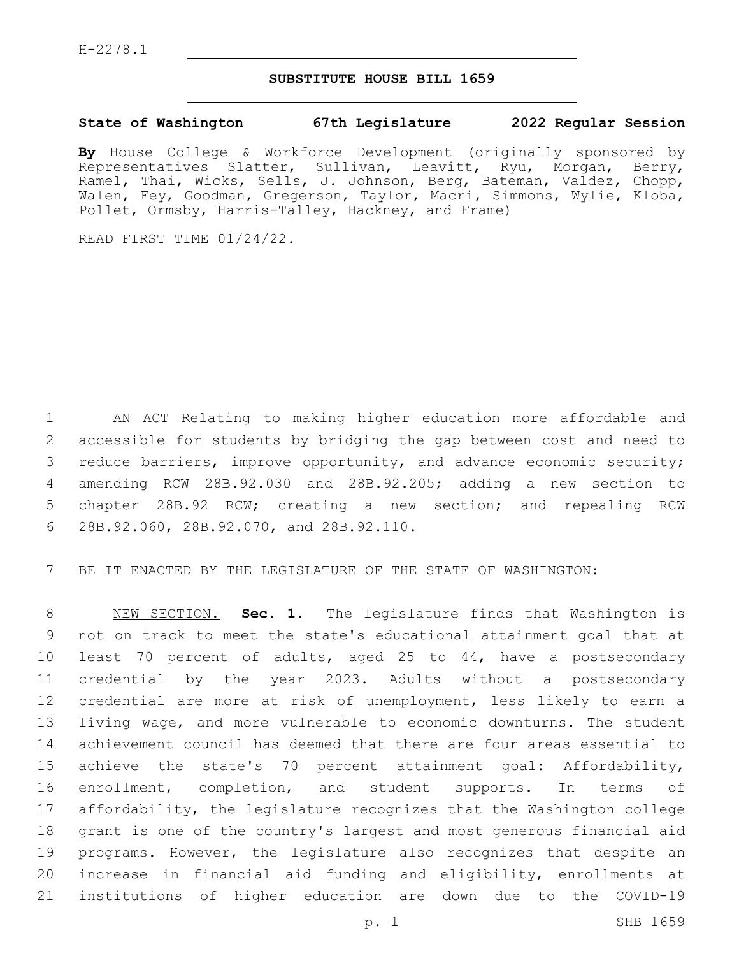## **SUBSTITUTE HOUSE BILL 1659**

## **State of Washington 67th Legislature 2022 Regular Session**

**By** House College & Workforce Development (originally sponsored by Representatives Slatter, Sullivan, Leavitt, Ryu, Morgan, Berry, Ramel, Thai, Wicks, Sells, J. Johnson, Berg, Bateman, Valdez, Chopp, Walen, Fey, Goodman, Gregerson, Taylor, Macri, Simmons, Wylie, Kloba, Pollet, Ormsby, Harris-Talley, Hackney, and Frame)

READ FIRST TIME 01/24/22.

 AN ACT Relating to making higher education more affordable and accessible for students by bridging the gap between cost and need to reduce barriers, improve opportunity, and advance economic security; amending RCW 28B.92.030 and 28B.92.205; adding a new section to chapter 28B.92 RCW; creating a new section; and repealing RCW 28B.92.060, 28B.92.070, and 28B.92.110.6

BE IT ENACTED BY THE LEGISLATURE OF THE STATE OF WASHINGTON:

 NEW SECTION. **Sec. 1.** The legislature finds that Washington is not on track to meet the state's educational attainment goal that at least 70 percent of adults, aged 25 to 44, have a postsecondary credential by the year 2023. Adults without a postsecondary credential are more at risk of unemployment, less likely to earn a living wage, and more vulnerable to economic downturns. The student achievement council has deemed that there are four areas essential to achieve the state's 70 percent attainment goal: Affordability, enrollment, completion, and student supports. In terms of affordability, the legislature recognizes that the Washington college grant is one of the country's largest and most generous financial aid programs. However, the legislature also recognizes that despite an increase in financial aid funding and eligibility, enrollments at institutions of higher education are down due to the COVID-19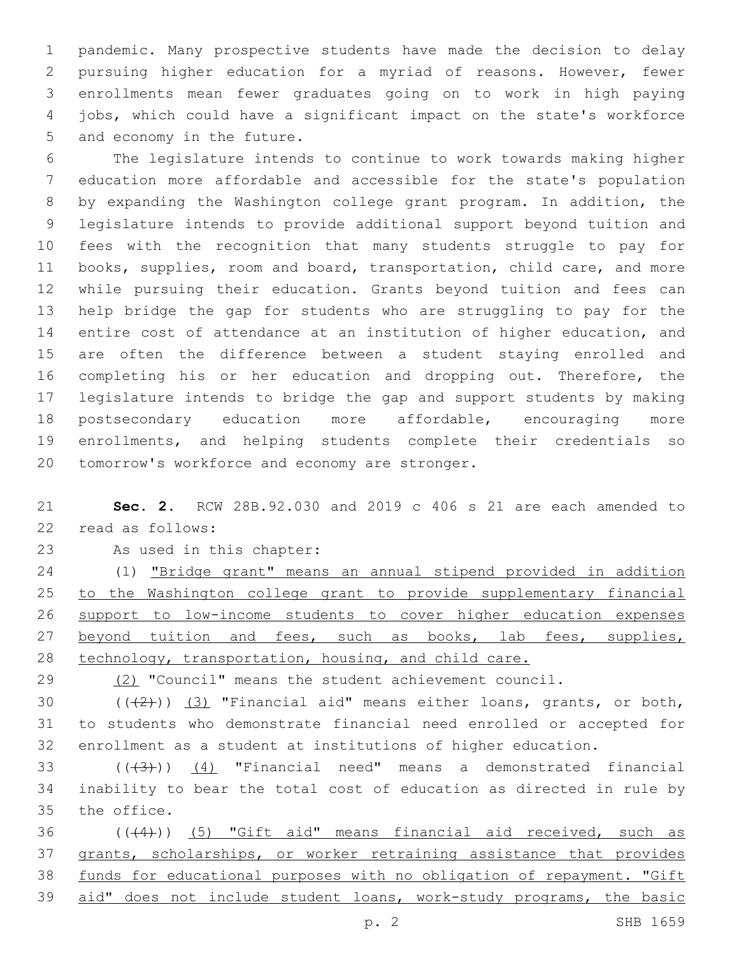pandemic. Many prospective students have made the decision to delay pursuing higher education for a myriad of reasons. However, fewer enrollments mean fewer graduates going on to work in high paying jobs, which could have a significant impact on the state's workforce 5 and economy in the future.

 The legislature intends to continue to work towards making higher education more affordable and accessible for the state's population by expanding the Washington college grant program. In addition, the legislature intends to provide additional support beyond tuition and fees with the recognition that many students struggle to pay for books, supplies, room and board, transportation, child care, and more while pursuing their education. Grants beyond tuition and fees can help bridge the gap for students who are struggling to pay for the entire cost of attendance at an institution of higher education, and are often the difference between a student staying enrolled and 16 completing his or her education and dropping out. Therefore, the legislature intends to bridge the gap and support students by making postsecondary education more affordable, encouraging more enrollments, and helping students complete their credentials so 20 tomorrow's workforce and economy are stronger.

 **Sec. 2.** RCW 28B.92.030 and 2019 c 406 s 21 are each amended to 22 read as follows:

23 As used in this chapter:

 (1) "Bridge grant" means an annual stipend provided in addition to the Washington college grant to provide supplementary financial support to low-income students to cover higher education expenses 27 beyond tuition and fees, such as books, lab fees, supplies, technology, transportation, housing, and child care.

29 (2) "Council" means the student achievement council.

30  $((+2+))$   $(3)$  "Financial aid" means either loans, grants, or both, to students who demonstrate financial need enrolled or accepted for enrollment as a student at institutions of higher education.

33  $((+3+))$   $(4)$  "Financial need" means a demonstrated financial inability to bear the total cost of education as directed in rule by 35 the office.

 (((4))) (5) "Gift aid" means financial aid received, such as grants, scholarships, or worker retraining assistance that provides funds for educational purposes with no obligation of repayment. "Gift aid" does not include student loans, work-study programs, the basic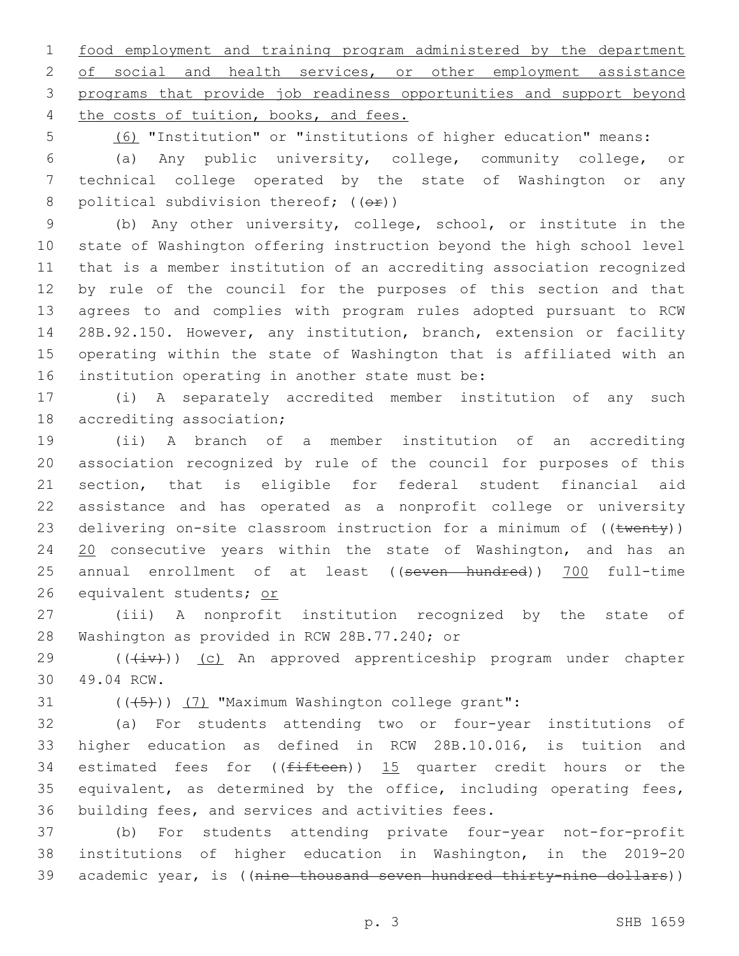1 food employment and training program administered by the department 2 of social and health services, or other employment assistance 3 programs that provide job readiness opportunities and support beyond 4 the costs of tuition, books, and fees.

5 (6) "Institution" or "institutions of higher education" means:

6 (a) Any public university, college, community college, or 7 technical college operated by the state of Washington or any 8 political subdivision thereof;  $((\theta \cdot \hat{r}))$ 

 (b) Any other university, college, school, or institute in the state of Washington offering instruction beyond the high school level that is a member institution of an accrediting association recognized by rule of the council for the purposes of this section and that agrees to and complies with program rules adopted pursuant to RCW 28B.92.150. However, any institution, branch, extension or facility operating within the state of Washington that is affiliated with an 16 institution operating in another state must be:

17 (i) A separately accredited member institution of any such 18 accrediting association;

19 (ii) A branch of a member institution of an accrediting 20 association recognized by rule of the council for purposes of this 21 section, that is eligible for federal student financial aid 22 assistance and has operated as a nonprofit college or university 23 delivering on-site classroom instruction for a minimum of ((twenty)) 24 20 consecutive years within the state of Washington, and has an 25 annual enrollment of at least ((seven hundred)) 700 full-time 26 equivalent students; or

27 (iii) A nonprofit institution recognized by the state of 28 Washington as provided in RCW 28B.77.240; or

29 (( $(iiv)$ ) (c) An approved apprenticeship program under chapter 49.04 RCW.30

31  $((+5+))$   $(7)$  "Maximum Washington college grant":

32 (a) For students attending two or four-year institutions of 33 higher education as defined in RCW 28B.10.016, is tuition and 34 estimated fees for  $((fifteen))$  15 quarter credit hours or the 35 equivalent, as determined by the office, including operating fees, 36 building fees, and services and activities fees.

37 (b) For students attending private four-year not-for-profit 38 institutions of higher education in Washington, in the 2019-20 39 academic year, is ((nine thousand seven hundred thirty-nine dollars))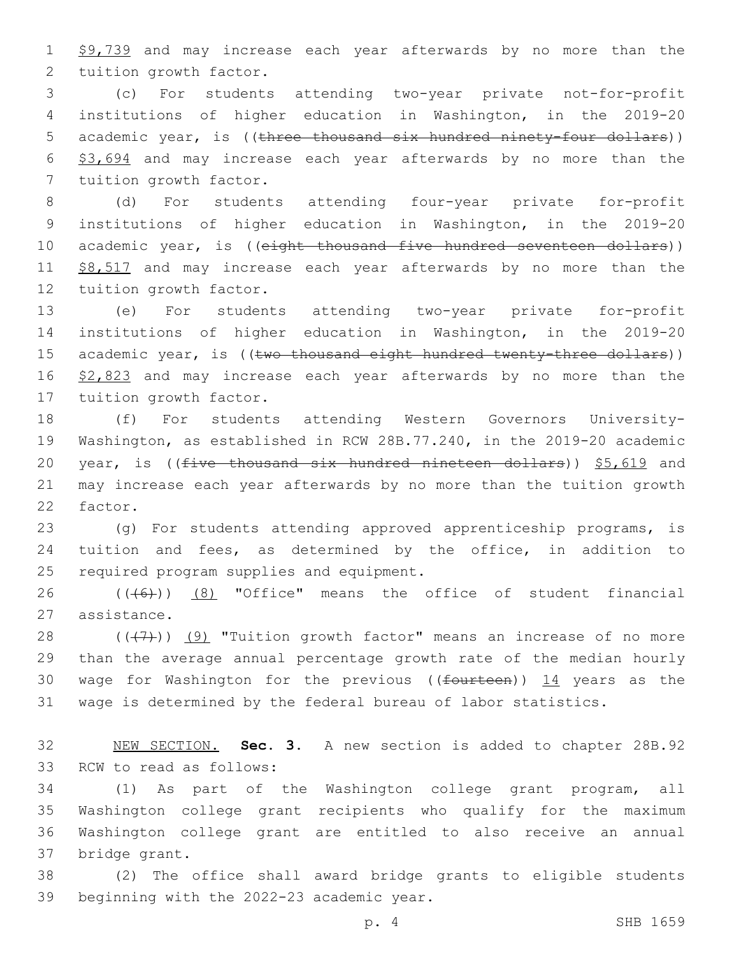1 \$9,739 and may increase each year afterwards by no more than the 2 tuition growth factor.

3 (c) For students attending two-year private not-for-profit 4 institutions of higher education in Washington, in the 2019-20 5 academic year, is ((three thousand six hundred ninety-four dollars)) 6 \$3,694 and may increase each year afterwards by no more than the 7 tuition growth factor.

8 (d) For students attending four-year private for-profit 9 institutions of higher education in Washington, in the 2019-20 10 academic year, is ((eight thousand five hundred seventeen dollars)) 11 \$8,517 and may increase each year afterwards by no more than the 12 tuition growth factor.

13 (e) For students attending two-year private for-profit 14 institutions of higher education in Washington, in the 2019-20 15 academic year, is ((two thousand eight hundred twenty-three dollars)) 16 \$2,823 and may increase each year afterwards by no more than the 17 tuition growth factor.

18 (f) For students attending Western Governors University-19 Washington, as established in RCW 28B.77.240, in the 2019-20 academic 20 year, is (( $f$ ive thousand six hundred nineteen dollars))  $$5,619$  and 21 may increase each year afterwards by no more than the tuition growth 22 factor.

23 (g) For students attending approved apprenticeship programs, is 24 tuition and fees, as determined by the office, in addition to 25 required program supplies and equipment.

26  $((+6+))$   $(8)$  "Office" means the office of student financial 27 assistance.

 $((+7+))$   $(9)$  "Tuition growth factor" means an increase of no more than the average annual percentage growth rate of the median hourly 30 wage for Washington for the previous (( $f$ ourteen))  $14$  years as the wage is determined by the federal bureau of labor statistics.

32 NEW SECTION. **Sec. 3.** A new section is added to chapter 28B.92 33 RCW to read as follows:

 (1) As part of the Washington college grant program, all Washington college grant recipients who qualify for the maximum Washington college grant are entitled to also receive an annual 37 bridge grant.

38 (2) The office shall award bridge grants to eligible students 39 beginning with the 2022-23 academic year.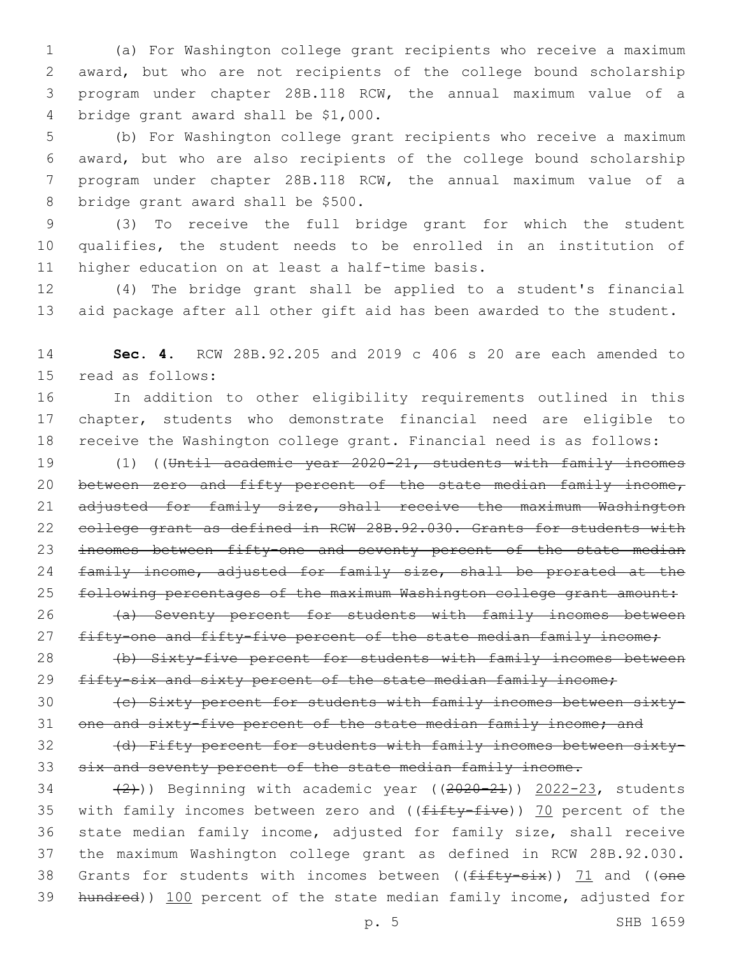(a) For Washington college grant recipients who receive a maximum award, but who are not recipients of the college bound scholarship program under chapter 28B.118 RCW, the annual maximum value of a 4 bridge grant award shall be \$1,000.

 (b) For Washington college grant recipients who receive a maximum award, but who are also recipients of the college bound scholarship program under chapter 28B.118 RCW, the annual maximum value of a 8 bridge grant award shall be \$500.

9 (3) To receive the full bridge grant for which the student 10 qualifies, the student needs to be enrolled in an institution of 11 higher education on at least a half-time basis.

12 (4) The bridge grant shall be applied to a student's financial 13 aid package after all other gift aid has been awarded to the student.

14 **Sec. 4.** RCW 28B.92.205 and 2019 c 406 s 20 are each amended to 15 read as follows:

16 In addition to other eligibility requirements outlined in this 17 chapter, students who demonstrate financial need are eligible to 18 receive the Washington college grant. Financial need is as follows:

19 (1) ((Until academic year 2020-21, students with family incomes 20 between zero and fifty percent of the state median family income, 21 adjusted for family size, shall receive the maximum Washington 22 college grant as defined in RCW 28B.92.030. Grants for students with 23 incomes between fifty-one and seventy percent of the state median 24 family income, adjusted for family size, shall be prorated at the 25 following percentages of the maximum Washington college grant amount:

26 (a) Seventy percent for students with family incomes between 27 fifty-one and fifty-five percent of the state median family income;

28 (b) Sixty-five percent for students with family incomes between 29 fifty-six and sixty percent of the state median family income;

30 (c) Sixty percent for students with family incomes between sixty-31 one and sixty-five percent of the state median family income; and

32 (d) Fifty percent for students with family incomes between sixty-33 six and seventy percent of the state median family income.

 $(2)$ )) Beginning with academic year  $((2020-21))$  2022-23, students 35 with family incomes between zero and ((fifty-five)) 70 percent of the state median family income, adjusted for family size, shall receive the maximum Washington college grant as defined in RCW 28B.92.030. 38 Grants for students with incomes between ( $(f$ ifty-six)) 71 and ((one hundred)) 100 percent of the state median family income, adjusted for

p. 5 SHB 1659